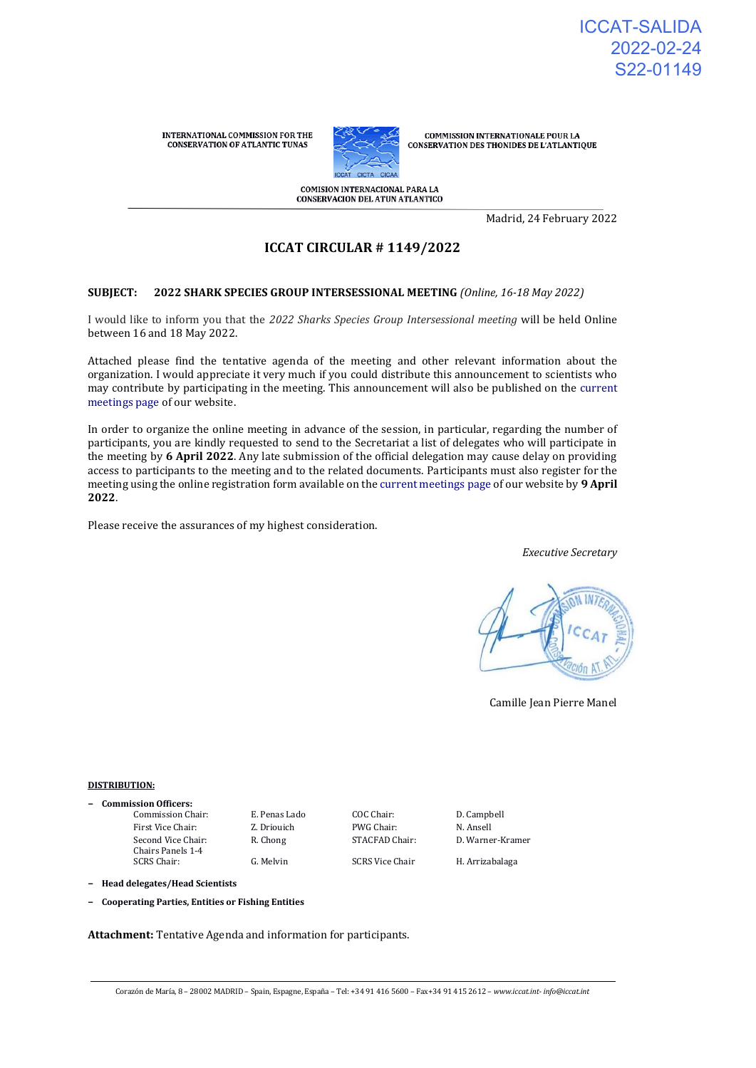INTERNATIONAL COMMISSION FOR THE **CONSERVATION OF ATLANTIC TUNAS** 



**COMMISSION INTERNATIONALE POUR LA** CONSERVATION DES THONIDES DE L'ATLANTIQUE

COMISION INTERNACIONAL PARA LA **CONSERVACION DEL ATUN ATLANTICO** 

Madrid, 24 February 2022

# **ICCAT CIRCULAR # 1149/2022**

#### **SUBJECT: 2022 SHARK SPECIES GROUP INTERSESSIONAL MEETING** *(Online, 16-18 May 2022)*

I would like to inform you that the *2022 Sharks Species Group Intersessional meeting* will be held Online between 16 and 18 May 2022.

Attached please find the tentative agenda of the meeting and other relevant information about the organization. I would appreciate it very much if you could distribute this announcement to scientists who may contribute by participating in the meeting. This announcement will also be published on the [current](https://www.iccat.int/en/Meetings.html)  [meetings page o](https://www.iccat.int/en/Meetings.html)f our website.

In order to organize the online meeting in advance of the session, in particular, regarding the number of participants, you are kindly requested to send to the Secretariat a list of delegates who will participate in the meeting by **6 April 2022**. Any late submission of the official delegation may cause delay on providing access to participants to the meeting and to the related documents. Participants must also register for the meeting using the online registration form available on the [current meetings page o](https://www.iccat.int/en/Meetings.html)f our website by **9 April 2022**.

Please receive the assurances of my highest consideration.

*Executive Secretary*



Camille Jean Pierre Manel

#### **DISTRIBUTION:**

**− Commission Officers:**

First Vice Chair: **Z. Driouich** PWG Chair: **N. Ansell** Second Vice Chair: Chairs Panels 1-4 SCRS Chair: G. Melvin SCRS Vice Chair H. Arrizabalaga

Commission Chair: E. Penas Lado COC Chair: D. Campbell

R. Chong STACFAD Chair: D. Warner-Kramer

**− Head delegates/Head Scientists**

**− Cooperating Parties, Entities or Fishing Entities**

**Attachment:** Tentative Agenda and information for participants.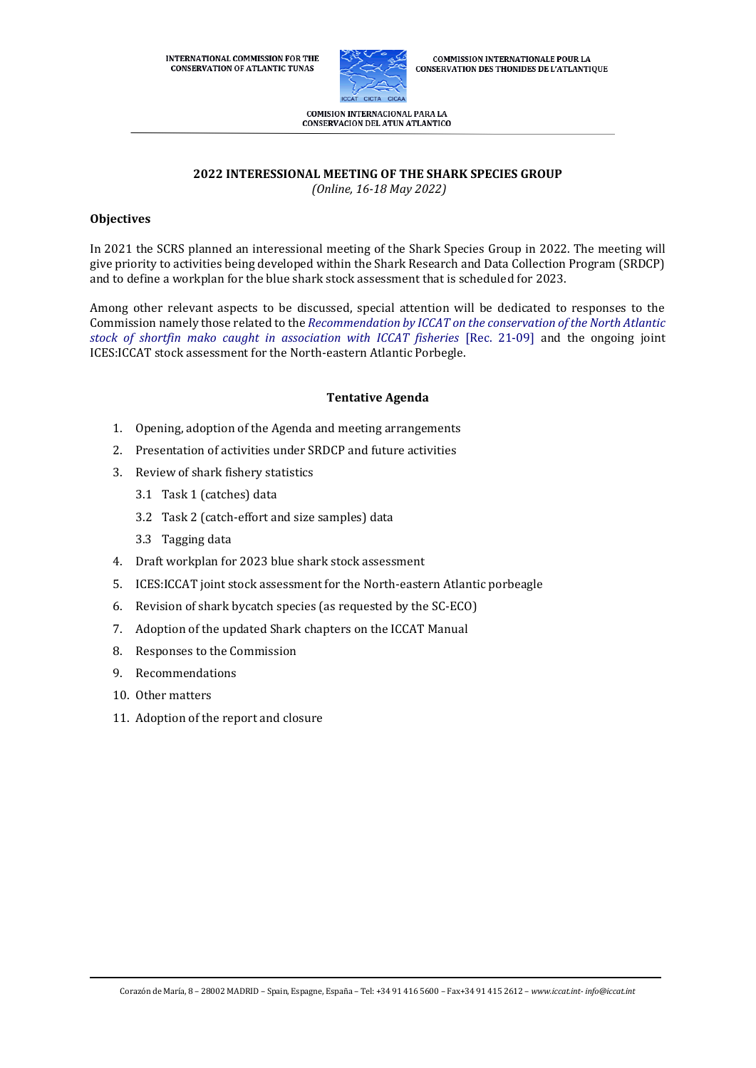

**COMMISSION INTERNATIONALE POUR LA CONSERVATION DES THONIDES DE L'ATLANTIQUE** 

COMISION INTERNACIONAL PARA LA **CONSERVACION DEL ATUN ATLANTICO** 

# **2022 INTERESSIONAL MEETING OF THE SHARK SPECIES GROUP**

*(Online, 16-18 May 2022)*

# **Objectives**

In 2021 the SCRS planned an interessional meeting of the Shark Species Group in 2022. The meeting will give priority to activities being developed within the Shark Research and Data Collection Program (SRDCP) and to define a workplan for the blue shark stock assessment that is scheduled for 2023.

Among other relevant aspects to be discussed, special attention will be dedicated to responses to the Commission namely those related to the *[Recommendation by ICCAT on the conservation of the North Atlantic](https://www.iccat.int/Documents/Recs/compendiopdf-e/2021-09-e.pdf)  [stock of shortfin mako caught in association with ICCAT fisheries](https://www.iccat.int/Documents/Recs/compendiopdf-e/2021-09-e.pdf)* [Rec. 21-09] and the ongoing joint ICES:ICCAT stock assessment for the North-eastern Atlantic Porbegle.

#### **Tentative Agenda**

- 1. Opening, adoption of the Agenda and meeting arrangements
- 2. Presentation of activities under SRDCP and future activities
- 3. Review of shark fishery statistics
	- 3.1 Task 1 (catches) data
	- 3.2 Task 2 (catch-effort and size samples) data
	- 3.3 Tagging data
- 4. Draft workplan for 2023 blue shark stock assessment
- 5. ICES:ICCAT joint stock assessment for the North-eastern Atlantic porbeagle
- 6. Revision of shark bycatch species (as requested by the SC-ECO)
- 7. Adoption of the updated Shark chapters on the ICCAT Manual
- 8. Responses to the Commission
- 9. Recommendations
- 10. Other matters
- 11. Adoption of the report and closure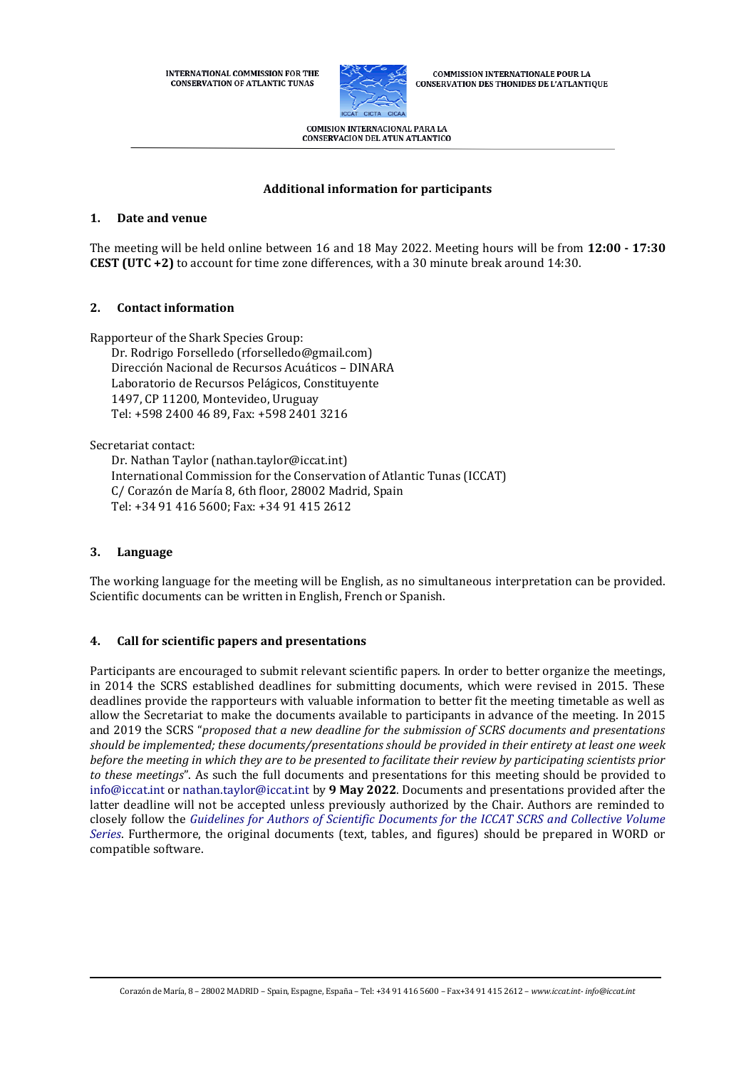**INTERNATIONAL COMMISSION FOR THE CONSERVATION OF ATLANTIC TUNAS** 



**COMMISSION INTERNATIONALE POUR LA CONSERVATION DES THONIDES DE L'ATLANTIQUE** 

COMISION INTERNACIONAL PARA LA CONSERVACION DEL ATUN ATLANTICO

# **Additional information for participants**

## **1. Date and venue**

The meeting will be held online between 16 and 18 May 2022. Meeting hours will be from **12:00 - 17:30 CEST (UTC +2)** to account for time zone differences, with a 30 minute break around 14:30.

## **2. Contact information**

Rapporteur of the Shark Species Group:

Dr. Rodrigo Forselledo (rforselledo@gmail.com) Dirección Nacional de Recursos Acuáticos – DINARA Laboratorio de Recursos Pelágicos, Constituyente 1497, CP 11200, Montevideo, Uruguay Tel: +598 2400 46 89, Fax: +598 2401 3216

Secretariat contact:

Dr. Nathan Taylor (nathan.taylor@iccat.int) International Commission for the Conservation of Atlantic Tunas (ICCAT) C/ Corazón de María 8, 6th floor, 28002 Madrid, Spain Tel: +34 91 416 5600; Fax: +34 91 415 2612

## **3. Language**

The working language for the meeting will be English, as no simultaneous interpretation can be provided. Scientific documents can be written in English, French or Spanish.

# **4. Call for scientific papers and presentations**

Participants are encouraged to submit relevant scientific papers. In order to better organize the meetings, in 2014 the SCRS established deadlines for submitting documents, which were revised in 2015. These deadlines provide the rapporteurs with valuable information to better fit the meeting timetable as well as allow the Secretariat to make the documents available to participants in advance of the meeting. In 2015 and 2019 the SCRS "*proposed that a new deadline for the submission of SCRS documents and presentations should be implemented; these documents/presentations should be provided in their entirety at least one week before the meeting in which they are to be presented to facilitate their review by participating scientists prior to these meetings*". As such the full documents and presentations for this meeting should be provided to [info@iccat.int](mailto:info@iccat.int) or [nathan.taylor@iccat.int](mailto:nathan.taylor@iccat.int) by **9 May 2022**. Documents and presentations provided after the latter deadline will not be accepted unless previously authorized by the Chair. Authors are reminded to closely follow the *[Guidelines for Authors of Scientific Documents for the ICCAT SCRS and Collective Volume](https://www.iccat.int/Documents/SCRS/Other/Guide_ColVol_ENG.pdf)  [Series](https://www.iccat.int/Documents/SCRS/Other/Guide_ColVol_ENG.pdf)*. Furthermore, the original documents (text, tables, and figures) should be prepared in WORD or compatible software.